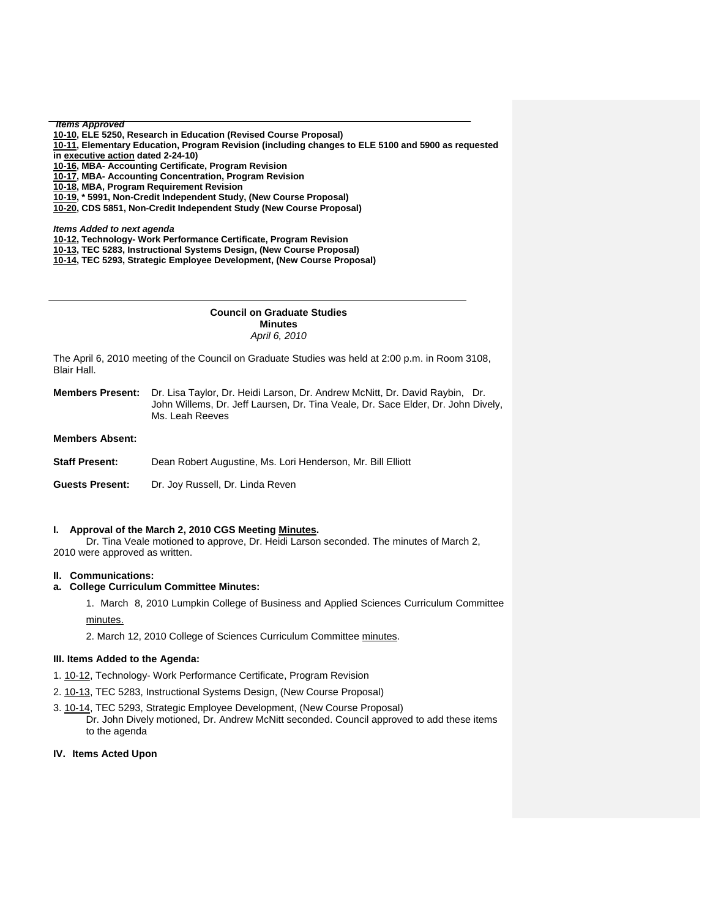*Items Approved* 

**[10-10, E](http://www.eiu.edu/~eiucgs/currentagendaitems/agenda10-10.pdf)LE 5250, Research in Education (Revised Course Proposal)** 

**[10-11,](http://www.eiu.edu/~eiucgs/currentagendaitems/agenda10-11.pdf) Elementary Education, Program Revision (including changes to ELE 5100 and 5900 as requested in [executive action d](http://www.eiu.edu/~eiucgs/currentagendaitems/CEPS-EA-2-24-10.pdf)ated 2-24-10)** 

**[10-16, M](http://www.eiu.edu/~eiucgs/currentagendaitems/agenda10-16.pdf)BA- Accounting Certificate, Program Revision** 

**[10-17,](http://www.eiu.edu/~eiucgs/currentagendaitems/agenda10-17.pdf) MBA- Accounting Concentration, Program Revision** 

**[10-18, M](http://www.eiu.edu/~eiucgs/currentagendaitems/agenda10-18.pdf)BA, Program Requirement Revision** 

**[10-19,](http://www.eiu.edu/~eiucgs/currentagendaitems/agenda10-19.pdf) \* 5991, Non-Credit Independent Study, (New Course Proposal)** 

**[10-20,](http://www.eiu.edu/~eiucgs/currentagendaitems/agenda10-20.pdf) CDS 5851, Non-Credit Independent Study (New Course Proposal)** 

*Items Added to next agenda* 

**[10-12, Te](http://www.eiu.edu/~eiucgs/currentagendaitems/agenda10-12.pdf)chnology- Work Performance Certificate, Program Revision** 

**[10-13,](http://www.eiu.edu/~eiucgs/currentagendaitems/agenda10-13.pdf) TEC 5283, Instructional Systems Design, (New Course Proposal)** 

 **[10-14,](http://www.eiu.edu/~eiucgs/currentagendaitems/agenda10-14.pdf) TEC 5293, Strategic Employee Development, (New Course Proposal)** 

## **Council on Graduate Studies Minutes**  *April 6, 2010*

The April 6, 2010 meeting of the Council on Graduate Studies was held at 2:00 p.m. in Room 3108, Blair Hall.

**Members Present:** Dr. Lisa Taylor, Dr. Heidi Larson, Dr. Andrew McNitt, Dr. David Raybin, Dr. John Willems, Dr. Jeff Laursen, Dr. Tina Veale, Dr. Sace Elder, Dr. John Dively, Ms. Leah Reeves

**Members Absent:** 

j

| <b>Staff Present:</b> | Dean Robert Augustine, Ms. Lori Henderson, Mr. Bill Elliott |  |  |
|-----------------------|-------------------------------------------------------------|--|--|
|-----------------------|-------------------------------------------------------------|--|--|

**Guests Present:** Dr. Joy Russell, Dr. Linda Reven

# **I. Approval of the March 2, 2010 CGS Meetin[g Minutes.](http://www.eiu.edu/~eiucgs/currentminutes/Minutes3-2-10.pdf)**

 Dr. Tina Veale motioned to approve, Dr. Heidi Larson seconded. The minutes of March 2, 2010 were approved as written.

## **II. Communications:**

# **a. College Curriculum Committee Minutes:**

1. March 8, 2010 Lumpkin College of Business and Applied Sciences Curriculum Committee

[minutes.](http://www.eiu.edu/~eiucgs/currentagendaitems/LCBASMin3-8-10.pdf)

2. March 12, 2010 College of Sciences Curriculum Committee [minutes.](http://www.eiu.edu/~eiucgs/currentagendaitems/COSMin3-12-10.pdf) 

#### **III. Items Added to the Agenda:**

1[. 10-12,](http://www.eiu.edu/~eiucgs/currentagendaitems/agenda10-12.pdf) Technology- Work Performance Certificate, Program Revision

- 2[. 10-13,](http://www.eiu.edu/~eiucgs/currentagendaitems/agenda10-13.pdf) TEC 5283, Instructional Systems Design, (New Course Proposal)
- 3. [10-14, T](http://www.eiu.edu/~eiucgs/currentagendaitems/agenda10-14.pdf)EC 5293, Strategic Employee Development, (New Course Proposal) Dr. John Dively motioned, Dr. Andrew McNitt seconded. Council approved to add these items to the agenda

### **IV. Items Acted Upon**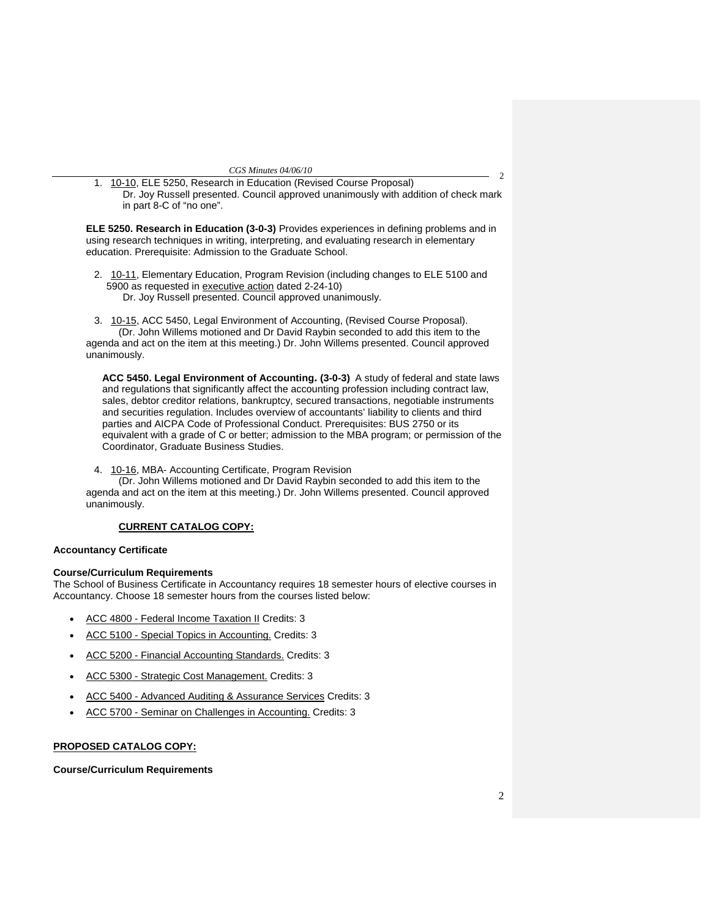$\mathfrak{D}$ 1. [10-10, ELE](http://www.eiu.edu/~eiucgs/currentagendaitems/agenda10-10.pdf) 5250, Research in Education (Revised Course Proposal) Dr. Joy Russell presented. Council approved unanimously with addition of check mark in part 8-C of "no one".

**ELE 5250. Research in Education (3-0-3)** Provides experiences in defining problems and in using research techniques in writing, interpreting, and evaluating research in elementary education. Prerequisite: Admission to the Graduate School.

2. [10-11,](http://www.eiu.edu/~eiucgs/currentagendaitems/agenda10-11.pdf) Elementary Education, Program Revision (including changes to ELE 5100 and 5900 as requested i[n executive action da](http://www.eiu.edu/~eiucgs/currentagendaitems/CEPS-EA-2-24-10.pdf)ted 2-24-10) Dr. Joy Russell presented. Council approved unanimously.

 3. [10-15, A](http://www.eiu.edu/~eiucgs/currentagendaitems/agenda10-15.pdf)CC 5450, Legal Environment of Accounting, (Revised Course Proposal). (Dr. John Willems motioned and Dr David Raybin seconded to add this item to the agenda and act on the item at this meeting.) Dr. John Willems presented. Council approved unanimously.

**ACC 5450. Legal Environment of Accounting. (3-0-3)** A study of federal and state laws and regulations that significantly affect the accounting profession including contract law, sales, debtor creditor relations, bankruptcy, secured transactions, negotiable instruments and securities regulation. Includes overview of accountants' liability to clients and third parties and AICPA Code of Professional Conduct. Prerequisites: BUS 2750 or its equivalent with a grade of C or better; admission to the MBA program; or permission of the Coordinator, Graduate Business Studies.

4. [10-16,](http://www.eiu.edu/~eiucgs/currentagendaitems/agenda10-16.pdf) MBA- Accounting Certificate, Program Revision

 (Dr. John Willems motioned and Dr David Raybin seconded to add this item to the agenda and act on the item at this meeting.) Dr. John Willems presented. Council approved unanimously.

# **CURRENT CATALOG COPY:**

## **Accountancy Certificate**

# **Course/Curriculum Requirements**

The School of Business Certificate in Accountancy requires 18 semester hours of elective courses in Accountancy. Choose 18 semester hours from the courses listed below:

- ACC 4800 Federal Income Taxation II Credits: 3
- ACC 5100 Special Topics in Accounting. Credits: 3
- ACC 5200 Financial Accounting Standards. Credits: 3
- ACC 5300 Strategic Cost Management. Credits: 3
- ACC 5400 Advanced Auditing & Assurance Services Credits: 3
- ACC 5700 Seminar on Challenges in Accounting. Credits: 3

# **PROPOSED CATALOG COPY:**

## **Course/Curriculum Requirements**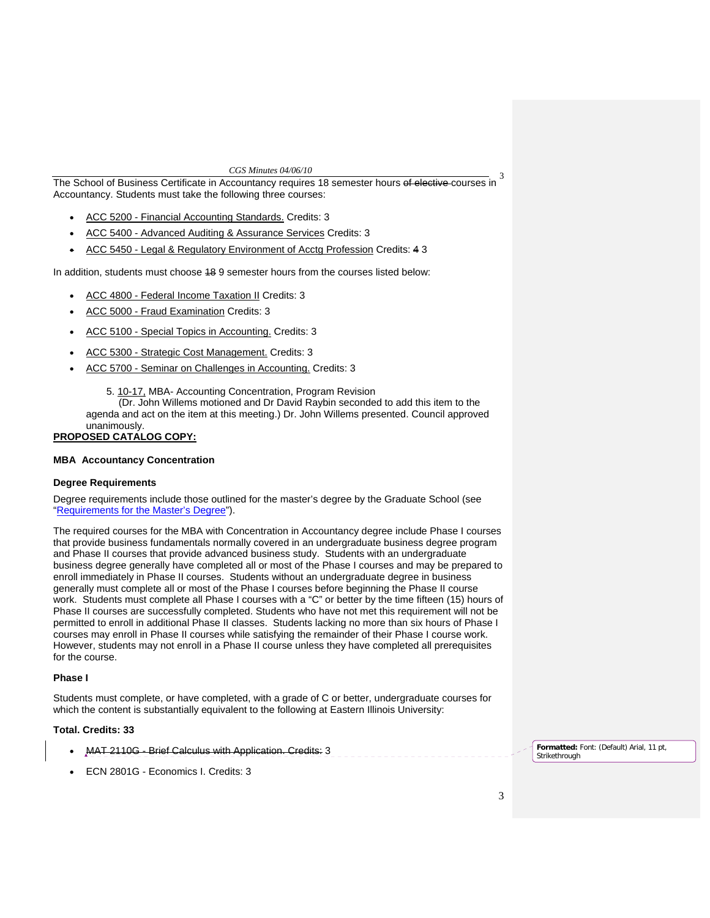The School of Business Certificate in Accountancy requires 18 semester hours of elective courses in 3 Accountancy. Students must take the following three courses:

- ACC 5200 Financial Accounting Standards. Credits: 3
- ACC 5400 Advanced Auditing & Assurance Services Credits: 3
- ACC 5450 Legal & Regulatory Environment of Acctg Profession Credits: 4 3

In addition, students must choose 18 9 semester hours from the courses listed below:

- ACC 4800 Federal Income Taxation II Credits: 3
- ACC 5000 Fraud Examination Credits: 3
- ACC 5100 Special Topics in Accounting. Credits: 3
- ACC 5300 Strategic Cost Management. Credits: 3
- ACC 5700 Seminar on Challenges in Accounting. Credits: 3

5[. 10-17, M](http://www.eiu.edu/~eiucgs/currentagendaitems/agenda10-17.pdf)BA- Accounting Concentration, Program Revision

 (Dr. John Willems motioned and Dr David Raybin seconded to add this item to the agenda and act on the item at this meeting.) Dr. John Willems presented. Council approved unanimously.

## **PROPOSED CATALOG COPY:**

## **MBA Accountancy Concentration**

# **Degree Requirements**

Degree requirements include those outlined for the master's degree by the Graduate School (see "Requirements for the Master's Degree").

The required courses for the MBA with Concentration in Accountancy degree include Phase I courses that provide business fundamentals normally covered in an undergraduate business degree program and Phase II courses that provide advanced business study. Students with an undergraduate business degree generally have completed all or most of the Phase I courses and may be prepared to enroll immediately in Phase II courses. Students without an undergraduate degree in business generally must complete all or most of the Phase I courses before beginning the Phase II course work. Students must complete all Phase I courses with a "C" or better by the time fifteen (15) hours of Phase II courses are successfully completed. Students who have not met this requirement will not be permitted to enroll in additional Phase II classes. Students lacking no more than six hours of Phase I courses may enroll in Phase II courses while satisfying the remainder of their Phase I course work. However, students may not enroll in a Phase II course unless they have completed all prerequisites for the course.

## **Phase I**

Students must complete, or have completed, with a grade of C or better, undergraduate courses for which the content is substantially equivalent to the following at Eastern Illinois University:

### **Total. Credits: 33**

- MAT 2110G Brief Calculus with Application. Credits: 3
- ECN 2801G Economics I. Credits: 3

**Formatted:** Font: (Default) Arial, 11 pt, Strikethrough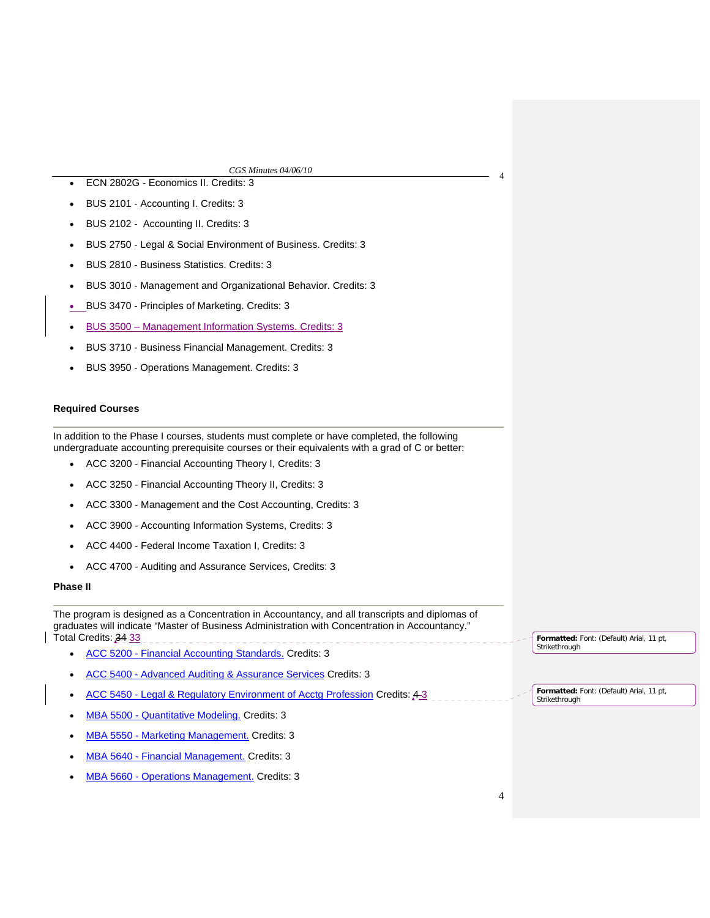- <sup>4</sup> ECN 2802G Economics II. Credits: 3 • BUS 2101 - Accounting I. Credits: 3
- BUS 2102 Accounting II. Credits: 3
- BUS 2750 Legal & Social Environment of Business. Credits: 3
- BUS 2810 Business Statistics. Credits: 3
- BUS 3010 Management and Organizational Behavior. Credits: 3
- BUS 3470 Principles of Marketing. Credits: 3
- BUS 3500 Management Information Systems. Credits: 3
- BUS 3710 Business Financial Management. Credits: 3
- BUS 3950 Operations Management. Credits: 3

# **Required Courses**

In addition to the Phase I courses, students must complete or have completed, the following undergraduate accounting prerequisite courses or their equivalents with a grad of C or better:

- ACC 3200 Financial Accounting Theory I, Credits: 3
- ACC 3250 Financial Accounting Theory II, Credits: 3
- ACC 3300 Management and the Cost Accounting, Credits: 3
- ACC 3900 Accounting Information Systems, Credits: 3
- ACC 4400 Federal Income Taxation I, Credits: 3
- ACC 4700 Auditing and Assurance Services, Credits: 3

## **Phase II**

The program is designed as a Concentration in Accountancy, and all transcripts and diplomas of graduates will indicate "Master of Business Administration with Concentration in Accountancy." Total Credits: 34 33 

- ACC 5200 Financial Accounting Standards. Credits: 3
- ACC 5400 Advanced Auditing & Assurance Services Credits: 3
- ACC 5450 Legal & Regulatory Environment of Acctg Profession Credits: 4 3
- MBA 5500 Quantitative Modeling. Credits: 3
- MBA 5550 Marketing Management. Credits: 3
- MBA 5640 Financial Management. Credits: 3
- MBA 5660 Operations Management. Credits: 3

**Formatted:** Font: (Default) Arial, 11 pt,

**Formatted:** Font: (Default) Arial, 11 pt,

Strikethrough

Strikethrough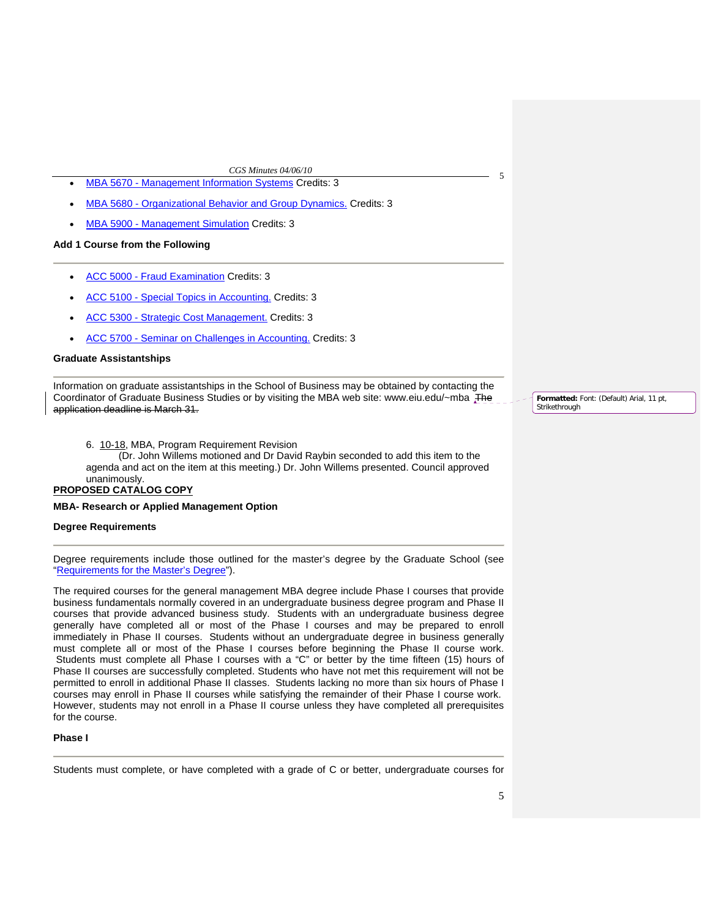- <sup>5</sup> MBA 5670 Management Information Systems Credits: 3
- MBA 5680 Organizational Behavior and Group Dynamics. Credits: 3
- MBA 5900 Management Simulation Credits: 3

### **Add 1 Course from the Following**

- ACC 5000 Fraud Examination Credits: 3
- ACC 5100 Special Topics in Accounting. Credits: 3
- ACC 5300 Strategic Cost Management. Credits: 3
- ACC 5700 Seminar on Challenges in Accounting. Credits: 3

### **Graduate Assistantships**

Information on graduate assistantships in the School of Business may be obtained by contacting the Coordinator of Graduate Business Studies or by visiting the MBA web site: www.eiu.edu/~mba The application deadline is March 31.

6[. 10-18,](http://www.eiu.edu/~eiucgs/currentagendaitems/agenda10-18.pdf) MBA, Program Requirement Revision

(Dr. John Willems motioned and Dr David Raybin seconded to add this item to the agenda and act on the item at this meeting.) Dr. John Willems presented. Council approved unanimously.

# **PROPOSED CATALOG COPY**

#### **MBA- Research or Applied Management Option**

### **Degree Requirements**

Degree requirements include those outlined for the master's degree by the Graduate School (see "Requirements for the Master's Degree").

The required courses for the general management MBA degree include Phase I courses that provide business fundamentals normally covered in an undergraduate business degree program and Phase II courses that provide advanced business study. Students with an undergraduate business degree generally have completed all or most of the Phase I courses and may be prepared to enroll immediately in Phase II courses. Students without an undergraduate degree in business generally must complete all or most of the Phase I courses before beginning the Phase II course work. Students must complete all Phase I courses with a "C" or better by the time fifteen (15) hours of Phase II courses are successfully completed. Students who have not met this requirement will not be permitted to enroll in additional Phase II classes. Students lacking no more than six hours of Phase I courses may enroll in Phase II courses while satisfying the remainder of their Phase I course work. However, students may not enroll in a Phase II course unless they have completed all prerequisites for the course.

### **Phase I**

Students must complete, or have completed with a grade of C or better, undergraduate courses for

**Formatted:** Font: (Default) Arial, 11 pt, Strikethrough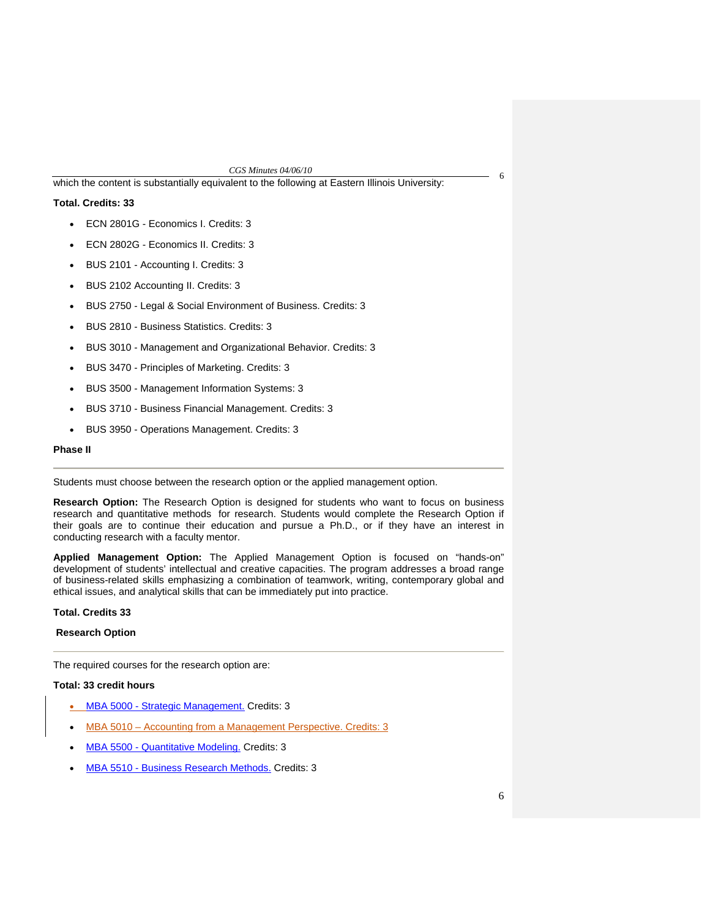which the content is substantially equivalent to the following at Eastern Illinois University:

# **Total. Credits: 33**

- ECN 2801G Economics I. Credits: 3
- ECN 2802G Economics II. Credits: 3
- BUS 2101 Accounting I. Credits: 3
- BUS 2102 Accounting II. Credits: 3
- BUS 2750 Legal & Social Environment of Business. Credits: 3
- BUS 2810 Business Statistics. Credits: 3
- BUS 3010 Management and Organizational Behavior. Credits: 3
- BUS 3470 Principles of Marketing. Credits: 3
- BUS 3500 Management Information Systems: 3
- BUS 3710 Business Financial Management. Credits: 3
- BUS 3950 Operations Management. Credits: 3

## **Phase II**

Students must choose between the research option or the applied management option.

**Research Option:** The Research Option is designed for students who want to focus on business research and quantitative methodsfor research. Students would complete the Research Option if their goals are to continue their education and pursue a Ph.D., or if they have an interest in conducting research with a faculty mentor.

**Applied Management Option:** The Applied Management Option is focused on "hands-on" development of students' intellectual and creative capacities. The program addresses a broad range of business-related skills emphasizing a combination of teamwork, writing, contemporary global and ethical issues, and analytical skills that can be immediately put into practice.

# **Total. Credits 33**

### **Research Option**

The required courses for the research option are:

### **Total: 33 credit hours**

- MBA 5000 Strategic Management. Credits: 3
- MBA 5010 Accounting from a Management Perspective. Credits: 3
- MBA 5500 Quantitative Modeling. Credits: 3
- MBA 5510 Business Research Methods. Credits: 3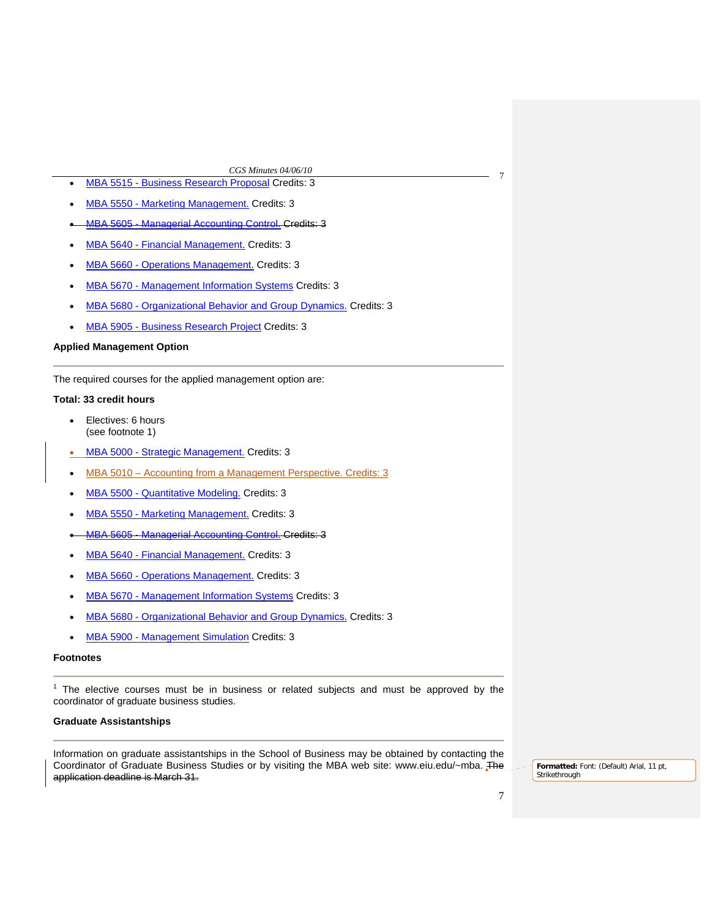- <sup>7</sup> MBA 5515 Business Research Proposal Credits: 3
- MBA 5550 Marketing Management. Credits: 3
- MBA 5605 Managerial Accounting Control. Credits: 3
- MBA 5640 Financial Management. Credits: 3
- MBA 5660 Operations Management. Credits: 3
- MBA 5670 Management Information Systems Credits: 3
- MBA 5680 Organizational Behavior and Group Dynamics. Credits: 3
- MBA 5905 Business Research Project Credits: 3

# **Applied Management Option**

The required courses for the applied management option are:

# **Total: 33 credit hours**

- Electives: 6 hours (see footnote 1)
- MBA 5000 Strategic Management. Credits: 3
- MBA 5010 Accounting from a Management Perspective. Credits: 3
- MBA 5500 Quantitative Modeling. Credits: 3
- MBA 5550 Marketing Management. Credits: 3
- MBA 5605 Managerial Accounting Control. Credits: 3
- MBA 5640 Financial Management. Credits: 3
- MBA 5660 Operations Management. Credits: 3
- MBA 5670 Management Information Systems Credits: 3
- MBA 5680 Organizational Behavior and Group Dynamics. Credits: 3
- MBA 5900 Management Simulation Credits: 3

## **Footnotes**

<sup>1</sup> The elective courses must be in business or related subjects and must be approved by the coordinator of graduate business studies.

## **Graduate Assistantships**

Information on graduate assistantships in the School of Business may be obtained by contacting the Coordinator of Graduate Business Studies or by visiting the MBA web site: www.eiu.edu/~mba. The application deadline is March 31.

**Formatted:** Font: (Default) Arial, 11 pt, Strikethrough

7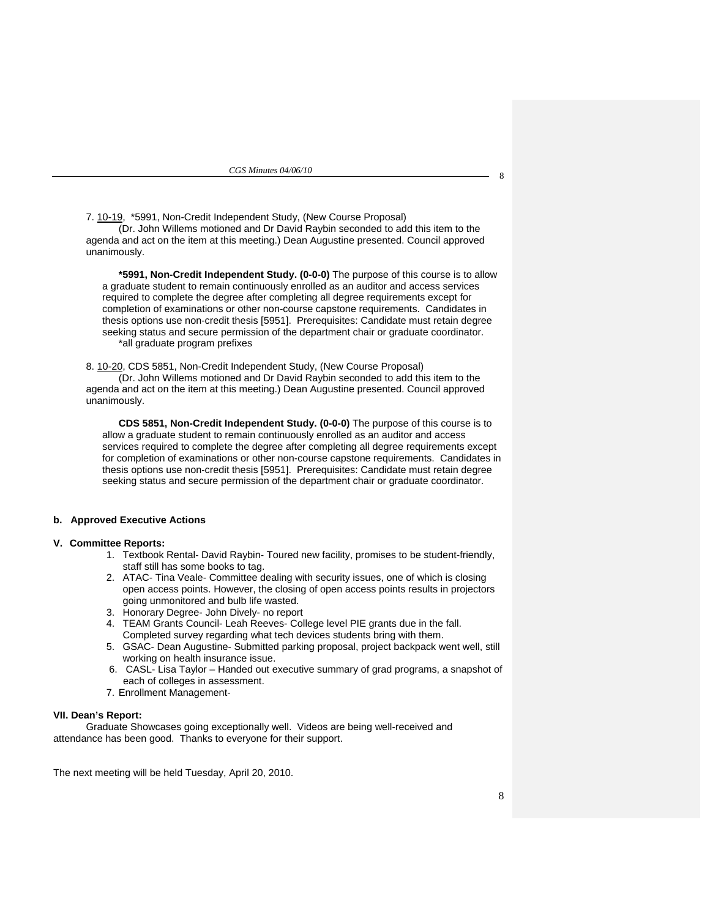7. [10-19,](http://www.eiu.edu/~eiucgs/currentagendaitems/agenda10-19.pdf) \*5991, Non-Credit Independent Study, (New Course Proposal) (Dr. John Willems motioned and Dr David Raybin seconded to add this item to the agenda and act on the item at this meeting.) Dean Augustine presented. Council approved unanimously.

**\*5991, Non-Credit Independent Study. (0-0-0)** The purpose of this course is to allow a graduate student to remain continuously enrolled as an auditor and access services required to complete the degree after completing all degree requirements except for completion of examinations or other non-course capstone requirements. Candidates in thesis options use non-credit thesis [5951]. Prerequisites: Candidate must retain degree seeking status and secure permission of the department chair or graduate coordinator. \*all graduate program prefixes

8[. 10-20, CD](http://www.eiu.edu/~eiucgs/currentagendaitems/agenda10-20.pdf)S 5851, Non-Credit Independent Study, (New Course Proposal) (Dr. John Willems motioned and Dr David Raybin seconded to add this item to the agenda and act on the item at this meeting.) Dean Augustine presented. Council approved unanimously.

**CDS 5851, Non-Credit Independent Study. (0-0-0)** The purpose of this course is to allow a graduate student to remain continuously enrolled as an auditor and access services required to complete the degree after completing all degree requirements except for completion of examinations or other non-course capstone requirements. Candidates in thesis options use non-credit thesis [5951]. Prerequisites: Candidate must retain degree seeking status and secure permission of the department chair or graduate coordinator.

## **b. Approved Executive Actions**

#### **V. Committee Reports:**

- 1. Textbook Rental- David Raybin- Toured new facility, promises to be student-friendly, staff still has some books to tag.
- 2. ATAC- Tina Veale- Committee dealing with security issues, one of which is closing open access points. However, the closing of open access points results in projectors going unmonitored and bulb life wasted.
- 3. Honorary Degree- John Dively- no report
- 4. TEAM Grants Council- Leah Reeves- College level PIE grants due in the fall. Completed survey regarding what tech devices students bring with them.
- 5. GSAC- Dean Augustine- Submitted parking proposal, project backpack went well, still working on health insurance issue.
- 6. CASL- Lisa Taylor Handed out executive summary of grad programs, a snapshot of each of colleges in assessment.
- 7. Enrollment Management-

### **VII. Dean's Report:**

 Graduate Showcases going exceptionally well. Videos are being well-received and attendance has been good. Thanks to everyone for their support.

The next meeting will be held Tuesday, April 20, 2010.